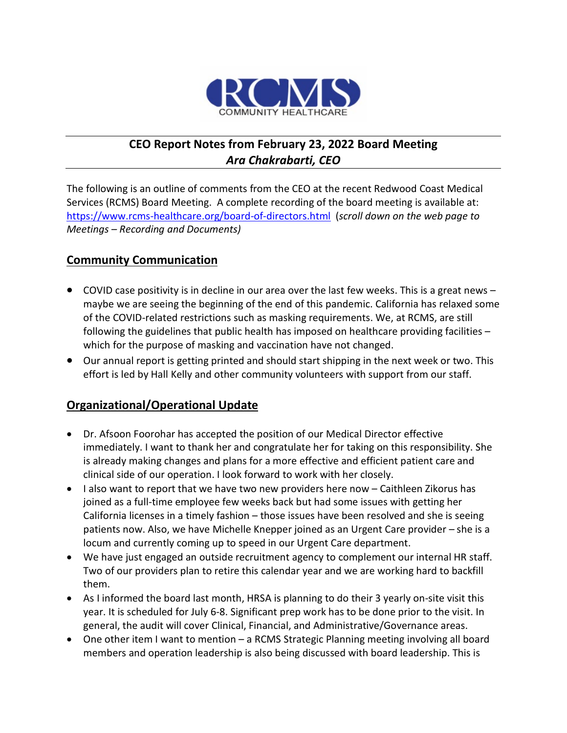

# **CEO Report Notes from February 23, 2022 Board Meeting** *Ara Chakrabarti, CEO*

The following is an outline of comments from the CEO at the recent Redwood Coast Medical Services (RCMS) Board Meeting. A complete recording of the board meeting is available at: <https://www.rcms-healthcare.org/board-of-directors.html>(*scroll down on the web page to Meetings – Recording and Documents)*

## **Community Communication**

- COVID case positivity is in decline in our area over the last few weeks. This is a great news maybe we are seeing the beginning of the end of this pandemic. California has relaxed some of the COVID-related restrictions such as masking requirements. We, at RCMS, are still following the guidelines that public health has imposed on healthcare providing facilities – which for the purpose of masking and vaccination have not changed.
- Our annual report is getting printed and should start shipping in the next week or two. This effort is led by Hall Kelly and other community volunteers with support from our staff.

#### **Organizational/Operational Update**

- Dr. Afsoon Foorohar has accepted the position of our Medical Director effective immediately. I want to thank her and congratulate her for taking on this responsibility. She is already making changes and plans for a more effective and efficient patient care and clinical side of our operation. I look forward to work with her closely.
- I also want to report that we have two new providers here now Caithleen Zikorus has joined as a full-time employee few weeks back but had some issues with getting her California licenses in a timely fashion – those issues have been resolved and she is seeing patients now. Also, we have Michelle Knepper joined as an Urgent Care provider – she is a locum and currently coming up to speed in our Urgent Care department.
- We have just engaged an outside recruitment agency to complement our internal HR staff. Two of our providers plan to retire this calendar year and we are working hard to backfill them.
- As I informed the board last month, HRSA is planning to do their 3 yearly on-site visit this year. It is scheduled for July 6-8. Significant prep work has to be done prior to the visit. In general, the audit will cover Clinical, Financial, and Administrative/Governance areas.
- One other item I want to mention a RCMS Strategic Planning meeting involving all board members and operation leadership is also being discussed with board leadership. This is